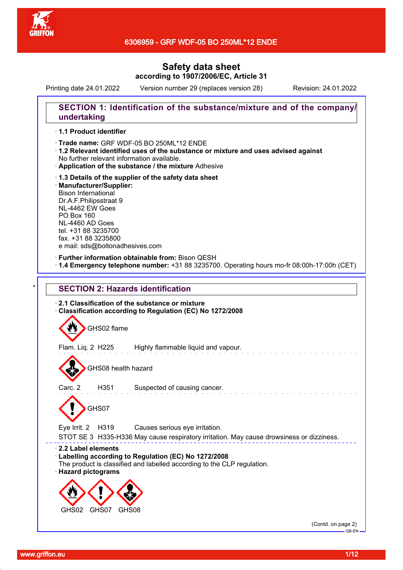

Printing date 24.01.2022 Version number 29 (replaces version 28) Revision: 24.01.2022

## **SECTION 1: Identification of the substance/mixture and of the company/ undertaking**

### · **1.1 Product identifier**

· Trade name: GRF WDF-05 BO 250ML\*12 ENDE

- · **1.2 Relevant identified uses of the substance or mixture and uses advised against** No further relevant information available.
- · **Application of the substance / the mixture** Adhesive
- · **1.3 Details of the supplier of the safety data sheet** · **Manufacturer/Supplier:** Bison International Dr.A.F.Philipsstraat 9 NL-4462 EW Goes PO Box 160 NL-4460 AD Goes tel. +31 88 3235700 fax. +31 88 3235800 e mail: sds@boltonadhesives.com

#### · **Further information obtainable from:** Bison QESH

· **1.4 Emergency telephone number:** +31 88 3235700. Operating hours mo-fr 08:00h-17:00h (CET)

# **SECTION 2: Hazards identification** · **2.1 Classification of the substance or mixture** · **Classification according to Regulation (EC) No 1272/2008**



GHS08 health hazard

Carc. 2 H351 Suspected of causing cancer.

GHS07

Eye Irrit. 2 H319 Causes serious eye irritation.

STOT SE 3 H335-H336 May cause respiratory irritation. May cause drowsiness or dizziness.

#### · **2.2 Label elements**

- · **Labelling according to Regulation (EC) No 1272/2008**
- The product is classified and labelled according to the CLP regulation.
- · **Hazard pictograms**



(Contd. on page 2) GB-EN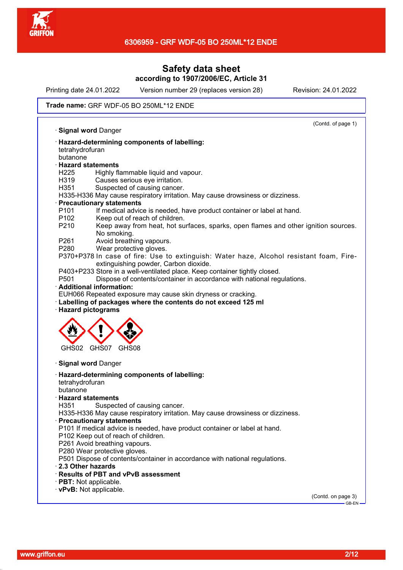

Printing date 24.01.2022 Version number 29 (replaces version 28) Revision: 24.01.2022

#### Trade name: GRF WDF-05 BO 250ML\*12 ENDE

(Contd. of page 1) · **Signal word** Danger · **Hazard-determining components of labelling:** tetrahydrofuran butanone · **Hazard statements** H225 Highly flammable liquid and vapour. H319 Causes serious eye irritation. H351 Suspected of causing cancer. H335-H336 May cause respiratory irritation. May cause drowsiness or dizziness. · **Precautionary statements** P101 If medical advice is needed, have product container or label at hand. P102 Keep out of reach of children. P210 Keep away from heat, hot surfaces, sparks, open flames and other ignition sources. No smoking. P261 Avoid breathing vapours. P280 Wear protective gloves. P370+P378 In case of fire: Use to extinguish: Water haze, Alcohol resistant foam, Fireextinguishing powder, Carbon dioxide. P403+P233 Store in a well-ventilated place. Keep container tightly closed.<br>P501 Dispose of contents/container in accordance with national reg Dispose of contents/container in accordance with national regulations. · **Additional information:** EUH066 Repeated exposure may cause skin dryness or cracking. · **Labelling of packages where the contents do not exceed 125 ml** · **Hazard pictograms** GHS02 GHS07 GHS08 · **Signal word** Danger · **Hazard-determining components of labelling:** tetrahydrofuran butanone · **Hazard statements** Suspected of causing cancer. H335-H336 May cause respiratory irritation. May cause drowsiness or dizziness. · **Precautionary statements** P101 If medical advice is needed, have product container or label at hand. P102 Keep out of reach of children. P261 Avoid breathing vapours. P<sub>280</sub> Wear protective gloves. P501 Dispose of contents/container in accordance with national regulations. · **2.3 Other hazards** · **Results of PBT and vPvB assessment** · **PBT:** Not applicable. · **vPvB:** Not applicable. (Contd. on page 3)

www.griffon.eu 2/12

GB-EN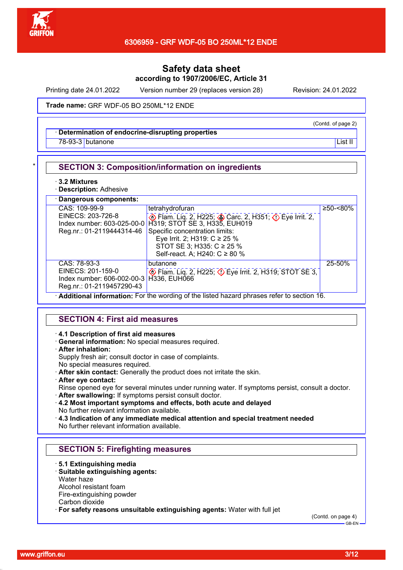

Printing date 24.01.2022 Version number 29 (replaces version 28) Revision: 24.01.2022

(Contd. of page 2)

#### Trade name: GRF WDF-05 BO 250ML\*12 ENDE

### · **Determination of endocrine-disrupting properties**

<u>78-93-3</u> butanone List II and the List II and the List II and the List II and the List II and the List II and the List II

#### **SECTION 3: Composition/information on ingredients**

#### · **3.2 Mixtures**

· **Description:** Adhesive

| · Dangerous components:                                                                                   |                                                                                                                                                                                                                                                |          |
|-----------------------------------------------------------------------------------------------------------|------------------------------------------------------------------------------------------------------------------------------------------------------------------------------------------------------------------------------------------------|----------|
| CAS: 109-99-9<br>EINECS: 203-726-8<br>Index number: 603-025-00-0<br>Reg.nr.: 01-2119444314-46             | tetrahydrofuran<br>Blam. Liq. 2, H225; Carc. 2, H351; C Eye Irrit. 2,<br>H319; STOT SE 3, H335, EUH019<br>Specific concentration limits:<br>Eye Irrit. 2; H319: $C \ge 25$ %<br>STOT SE 3; H335: $C \ge 25$ %<br>Self-react. A; H240: C ≥ 80 % | ≥50-<80% |
| CAS: 78-93-3<br>EINECS: 201-159-0<br>Index number: 606-002-00-3 H336, EUH066<br>Reg.nr.: 01-2119457290-43 | butanone<br>Flam. Liq. 2, H225; $\circled{}$ Eye Irrit. 2, H319; STOT SE 3.                                                                                                                                                                    | 25-50%   |

· **Additional information:** For the wording of the listed hazard phrases refer to section 16.

### **SECTION 4: First aid measures**

#### · **4.1 Description of first aid measures**

· **General information:** No special measures required.

#### · **After inhalation:**

Supply fresh air; consult doctor in case of complaints.

- No special measures required.
- · **After skin contact:** Generally the product does not irritate the skin.
- · **After eye contact:**

Rinse opened eye for several minutes under running water. If symptoms persist, consult a doctor.

- · **After swallowing:** If symptoms persist consult doctor.
- · **4.2 Most important symptoms and effects, both acute and delayed** No further relevant information available.

· **4.3 Indication of any immediate medical attention and special treatment needed** No further relevant information available.

### **SECTION 5: Firefighting measures**

· **5.1 Extinguishing media**

## · **Suitable extinguishing agents:**

Water haze

Alcohol resistant foam

Fire-extinguishing powder

Carbon dioxide

· **For safety reasons unsuitable extinguishing agents:** Water with full jet

(Contd. on page 4)

www.griffon.eu 3/12

GB-EN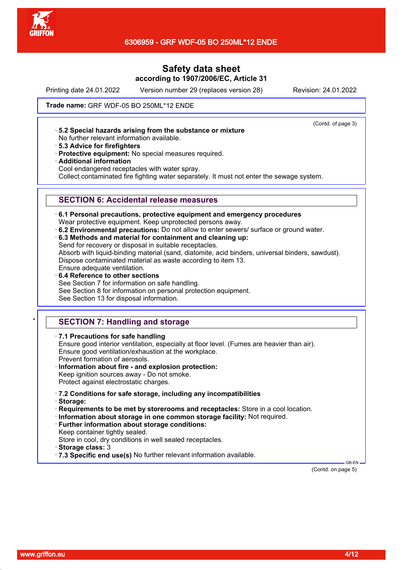

Printing date 24.01.2022 Version number 29 (replaces version 28) Revision: 24.01.2022

(Contd. of page 3)

Trade name: GRF WDF-05 BO 250ML\*12 ENDE

· **5.2 Special hazards arising from the substance or mixture**

- No further relevant information available.
- · **5.3 Advice for firefighters**
- · **Protective equipment:** No special measures required.
- · **Additional information**

Cool endangered receptacles with water spray.

Collect contaminated fire fighting water separately. It must not enter the sewage system.

## **SECTION 6: Accidental release measures**

- · **6.1 Personal precautions, protective equipment and emergency procedures** Wear protective equipment. Keep unprotected persons away.
- · **6.2 Environmental precautions:** Do not allow to enter sewers/ surface or ground water.
- · **6.3 Methods and material for containment and cleaning up:** Send for recovery or disposal in suitable receptacles.

Absorb with liquid-binding material (sand, diatomite, acid binders, universal binders, sawdust). Dispose contaminated material as waste according to item 13. Ensure adequate ventilation.

· **6.4 Reference to other sections** See Section 7 for information on safe handling. See Section 8 for information on personal protection equipment.

See Section 13 for disposal information.

# **SECTION 7: Handling and storage**

· **7.1 Precautions for safe handling**

Ensure good interior ventilation, especially at floor level. (Fumes are heavier than air). Ensure good ventilation/exhaustion at the workplace. Prevent formation of aerosols.

· **Information about fire - and explosion protection:** Keep ignition sources away - Do not smoke.

Protect against electrostatic charges.

- · **7.2 Conditions for safe storage, including any incompatibilities**
- · **Storage:**

· **Requirements to be met by storerooms and receptacles:** Store in a cool location.

- · **Information about storage in one common storage facility:** Not required.
- · **Further information about storage conditions:**

Keep container tightly sealed.

Store in cool, dry conditions in well sealed receptacles.

- · **Storage class:** 3
- · **7.3 Specific end use(s)** No further relevant information available.

(Contd. on page 5)

GB-EN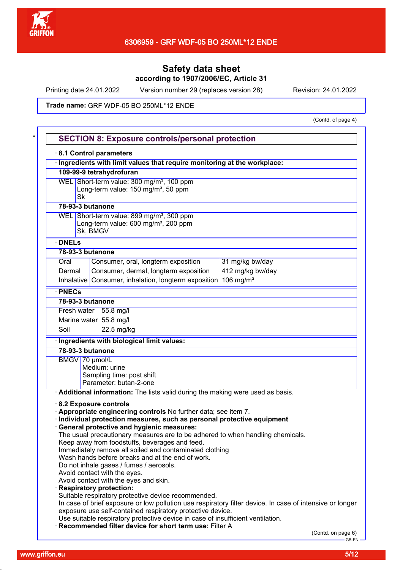

Printing date 24.01.2022 Version number 29 (replaces version 28) Revision: 24.01.2022

Trade name: GRF WDF-05 BO 250ML\*12 ENDE

(Contd. of page 4)

|                  |          | 8.1 Control parameters<br>· Ingredients with limit values that require monitoring at the workplace:                                         |                                                                                                          |
|------------------|----------|---------------------------------------------------------------------------------------------------------------------------------------------|----------------------------------------------------------------------------------------------------------|
|                  |          | 109-99-9 tetrahydrofuran                                                                                                                    |                                                                                                          |
|                  |          | WEL Short-term value: 300 mg/m <sup>3</sup> , 100 ppm                                                                                       |                                                                                                          |
|                  |          | Long-term value: 150 mg/m <sup>3</sup> , 50 ppm                                                                                             |                                                                                                          |
|                  | Sk       |                                                                                                                                             |                                                                                                          |
| 78-93-3 butanone |          |                                                                                                                                             |                                                                                                          |
|                  |          | WEL Short-term value: 899 mg/m <sup>3</sup> , 300 ppm                                                                                       |                                                                                                          |
|                  |          | Long-term value: 600 mg/m <sup>3</sup> , 200 ppm                                                                                            |                                                                                                          |
|                  | Sk, BMGV |                                                                                                                                             |                                                                                                          |
| · DNELs          |          |                                                                                                                                             |                                                                                                          |
| 78-93-3 butanone |          |                                                                                                                                             |                                                                                                          |
| Oral             |          | Consumer, oral, longterm exposition                                                                                                         | 31 mg/kg bw/day                                                                                          |
| Dermal           |          | Consumer, dermal, longterm exposition                                                                                                       | 412 mg/kg bw/day                                                                                         |
|                  |          | Inhalative Consumer, inhalation, longterm exposition 106 mg/m <sup>3</sup>                                                                  |                                                                                                          |
| · PNECs          |          |                                                                                                                                             |                                                                                                          |
| 78-93-3 butanone |          |                                                                                                                                             |                                                                                                          |
|                  |          | Fresh water $ 55.8 \text{ mg/l} $                                                                                                           |                                                                                                          |
|                  |          | Marine water 55.8 mg/l                                                                                                                      |                                                                                                          |
| Soil             |          | 22.5 mg/kg                                                                                                                                  |                                                                                                          |
|                  |          | Ingredients with biological limit values:                                                                                                   |                                                                                                          |
| 78-93-3 butanone |          |                                                                                                                                             |                                                                                                          |
| BMGV 70 µmol/L   |          |                                                                                                                                             |                                                                                                          |
|                  |          | Medium: urine                                                                                                                               |                                                                                                          |
|                  |          |                                                                                                                                             |                                                                                                          |
|                  |          |                                                                                                                                             |                                                                                                          |
|                  |          | Sampling time: post shift<br>Parameter: butan-2-one                                                                                         |                                                                                                          |
|                  |          | Additional information: The lists valid during the making were used as basis.                                                               |                                                                                                          |
|                  |          | 8.2 Exposure controls                                                                                                                       |                                                                                                          |
|                  |          | . Appropriate engineering controls No further data; see item 7.                                                                             |                                                                                                          |
|                  |          | · Individual protection measures, such as personal protective equipment                                                                     |                                                                                                          |
|                  |          | · General protective and hygienic measures:                                                                                                 |                                                                                                          |
|                  |          | The usual precautionary measures are to be adhered to when handling chemicals.                                                              |                                                                                                          |
|                  |          | Keep away from foodstuffs, beverages and feed.                                                                                              |                                                                                                          |
|                  |          | Immediately remove all soiled and contaminated clothing<br>Wash hands before breaks and at the end of work.                                 |                                                                                                          |
|                  |          | Do not inhale gases / fumes / aerosols.                                                                                                     |                                                                                                          |
|                  |          | Avoid contact with the eyes.                                                                                                                |                                                                                                          |
|                  |          | Avoid contact with the eyes and skin.                                                                                                       |                                                                                                          |
|                  |          | · Respiratory protection:                                                                                                                   |                                                                                                          |
|                  |          | Suitable respiratory protective device recommended.                                                                                         |                                                                                                          |
|                  |          | exposure use self-contained respiratory protective device.                                                                                  |                                                                                                          |
|                  |          | Use suitable respiratory protective device in case of insufficient ventilation.<br>· Recommended filter device for short term use: Filter A | In case of brief exposure or low pollution use respiratory filter device. In case of intensive or longer |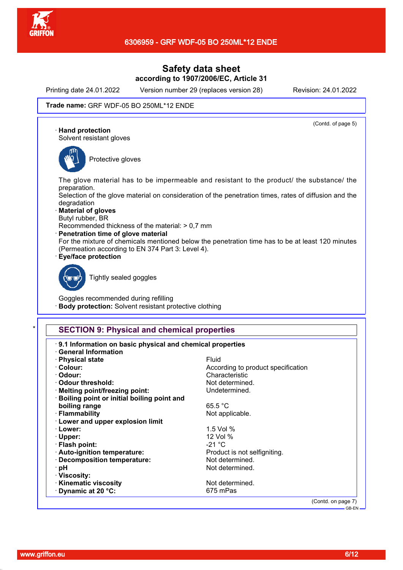

Printing date 24.01.2022 Version number 29 (replaces version 28) Revision: 24.01.2022

(Contd. of page 5)

#### Trade name: GRF WDF-05 BO 250ML\*12 ENDE

· **Hand protection**

Solvent resistant gloves



Protective gloves

The glove material has to be impermeable and resistant to the product/ the substance/ the preparation.

Selection of the glove material on consideration of the penetration times, rates of diffusion and the degradation

- · **Material of gloves**
- Butyl rubber, BR
- Recommended thickness of the material: > 0,7 mm
- · **Penetration time of glove material**

For the mixture of chemicals mentioned below the penetration time has to be at least 120 minutes (Permeation according to EN 374 Part 3: Level 4).

· **Eye/face protection**



Tightly sealed goggles

Goggles recommended during refilling **Body protection:** Solvent resistant protective clothing

## **SECTION 9: Physical and chemical properties**

| · Physical state                             | Fluid                              |
|----------------------------------------------|------------------------------------|
| · Colour:                                    | According to product specification |
| · Odour:                                     | Characteristic                     |
| ⋅ Odour threshold:                           | Not determined.                    |
| · Melting point/freezing point:              | Undetermined.                      |
| · Boiling point or initial boiling point and |                                    |
| boiling range                                | 65.5 °C                            |
| · Flammability                               | Not applicable.                    |
| · Lower and upper explosion limit            |                                    |
| · Lower:                                     | 1.5 Vol $%$                        |
| $\cdot$ Upper:                               | 12 Vol %                           |
| · Flash point:                               | $-21 °C$                           |
| · Auto-ignition temperature:                 | Product is not selfigniting.       |
| · Decomposition temperature:                 | Not determined.                    |
| ∙ pH                                         | Not determined.                    |
| · Viscosity:                                 |                                    |
| · Kinematic viscosity                        | Not determined.                    |
| $\cdot$ Dynamic at 20 $\degree$ C:           | 675 mPas                           |

GB-EN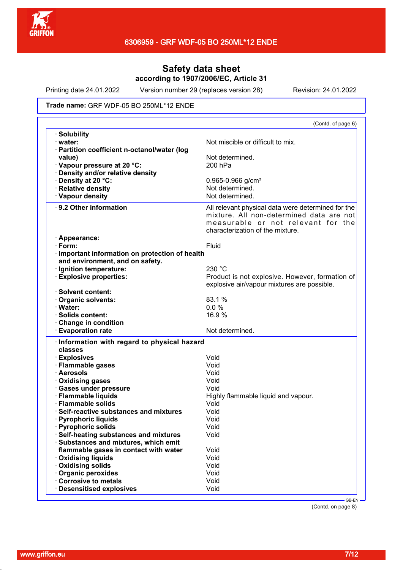

Printing date 24.01.2022 Version number 29 (replaces version 28) Revision: 24.01.2022

#### Trade name: GRF WDF-05 BO 250ML\*12 ENDE

|                                               | (Contd. of page 6)                                                                                                                                                       |
|-----------------------------------------------|--------------------------------------------------------------------------------------------------------------------------------------------------------------------------|
| · Solubility                                  |                                                                                                                                                                          |
| $\cdot$ water:                                | Not miscible or difficult to mix.                                                                                                                                        |
| · Partition coefficient n-octanol/water (log  |                                                                                                                                                                          |
| value)                                        | Not determined.                                                                                                                                                          |
| Vapour pressure at 20 °C:                     | 200 hPa                                                                                                                                                                  |
| · Density and/or relative density             |                                                                                                                                                                          |
| · Density at 20 °C:                           | $0.965 - 0.966$ g/cm <sup>3</sup>                                                                                                                                        |
| · Relative density                            | Not determined.                                                                                                                                                          |
| · Vapour density                              | Not determined.                                                                                                                                                          |
| ⋅ 9.2 Other information                       | All relevant physical data were determined for the<br>mixture. All non-determined data are not<br>measurable or not relevant for the<br>characterization of the mixture. |
| · Appearance:                                 |                                                                                                                                                                          |
| $\cdot$ Form:                                 | Fluid                                                                                                                                                                    |
| Important information on protection of health |                                                                                                                                                                          |
| and environment, and on safety.               |                                                                                                                                                                          |
| · Ignition temperature:                       | 230 °C                                                                                                                                                                   |
| <b>Explosive properties:</b>                  | Product is not explosive. However, formation of                                                                                                                          |
|                                               | explosive air/vapour mixtures are possible.                                                                                                                              |
| · Solvent content:                            |                                                                                                                                                                          |
| Organic solvents:                             | 83.1 %                                                                                                                                                                   |
| · Water:                                      | 0.0%                                                                                                                                                                     |
| · Solids content:                             | 16.9%                                                                                                                                                                    |
| Change in condition                           |                                                                                                                                                                          |
| <b>Evaporation rate</b>                       | Not determined.                                                                                                                                                          |
| Information with regard to physical hazard    |                                                                                                                                                                          |
| classes                                       |                                                                                                                                                                          |
| · Explosives                                  | Void                                                                                                                                                                     |
| · Flammable gases                             | Void                                                                                                                                                                     |
| · Aerosols                                    | Void                                                                                                                                                                     |
| · Oxidising gases                             | Void                                                                                                                                                                     |
| · Gases under pressure                        | Void                                                                                                                                                                     |
| · Flammable liquids                           | Highly flammable liquid and vapour.                                                                                                                                      |
| · Flammable solids                            | Void                                                                                                                                                                     |
| Self-reactive substances and mixtures         | Void                                                                                                                                                                     |
| · Pyrophoric liquids                          | Void                                                                                                                                                                     |
| <b>Pyrophoric solids</b>                      | Void                                                                                                                                                                     |
| Self-heating substances and mixtures          | Void                                                                                                                                                                     |
| · Substances and mixtures, which emit         |                                                                                                                                                                          |
| flammable gases in contact with water         | Void                                                                                                                                                                     |
| <b>Oxidising liquids</b>                      | Void                                                                                                                                                                     |
| Oxidising solids                              | Void                                                                                                                                                                     |
| · Organic peroxides                           | Void                                                                                                                                                                     |
| Corrosive to metals                           | Void                                                                                                                                                                     |
| Desensitised explosives                       | Void                                                                                                                                                                     |
|                                               |                                                                                                                                                                          |

(Contd. on page 8)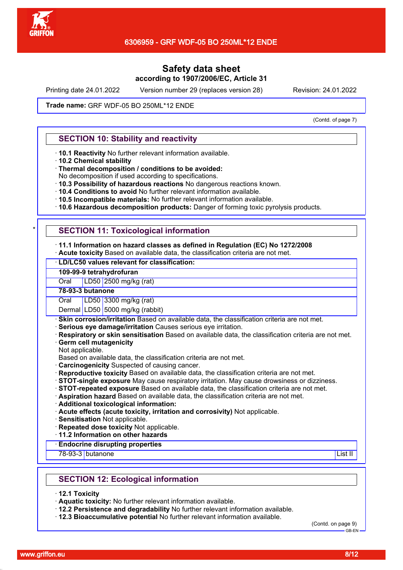

Printing date 24.01.2022 Version number 29 (replaces version 28) Revision: 24.01.2022

Trade name: GRF WDF-05 BO 250ML\*12 ENDE

(Contd. of page 7)

## **SECTION 10: Stability and reactivity**

- · **10.1 Reactivity** No further relevant information available.
- · **10.2 Chemical stability**
- · **Thermal decomposition / conditions to be avoided:**
- No decomposition if used according to specifications.
- · **10.3 Possibility of hazardous reactions** No dangerous reactions known.
- · **10.4 Conditions to avoid** No further relevant information available.
- · **10.5 Incompatible materials:** No further relevant information available.
- · **10.6 Hazardous decomposition products:** Danger of forming toxic pyrolysis products.

### **SECTION 11: Toxicological information**

#### · **11.1 Information on hazard classes as defined in Regulation (EC) No 1272/2008**

· **Acute toxicity** Based on available data, the classification criteria are not met.

### · **LD/LC50 values relevant for classification:**

### **109-99-9 tetrahydrofuran**

Oral LD50 2500 mg/kg (rat)

**78-93-3 butanone**

Oral LD50 3300 mg/kg (rat)

Dermal LD50 5000 mg/kg (rabbit)

- **Skin corrosion/irritation** Based on available data, the classification criteria are not met.
- · **Serious eye damage/irritation** Causes serious eye irritation.
- · **Respiratory or skin sensitisation** Based on available data, the classification criteria are not met.
- **Germ cell mutagenicity**
- Not applicable.
- Based on available data, the classification criteria are not met.
- · **Carcinogenicity** Suspected of causing cancer.
- · **Reproductive toxicity** Based on available data, the classification criteria are not met.
- · **STOT-single exposure** May cause respiratory irritation. May cause drowsiness or dizziness.
- · **STOT-repeated exposure** Based on available data, the classification criteria are not met.
- · **Aspiration hazard** Based on available data, the classification criteria are not met.
- · **Additional toxicological information:**
- · **Acute effects (acute toxicity, irritation and corrosivity)** Not applicable.
- · **Sensitisation** Not applicable.
- · **Repeated dose toxicity** Not applicable.
- · **11.2 Information on other hazards**

### · **Endocrine disrupting properties**

78-93-3 butanone List II

## **SECTION 12: Ecological information**

- · **12.1 Toxicity**
- · **Aquatic toxicity:** No further relevant information available.
- · **12.2 Persistence and degradability** No further relevant information available.
- · **12.3 Bioaccumulative potential** No further relevant information available.

(Contd. on page 9) GB-EN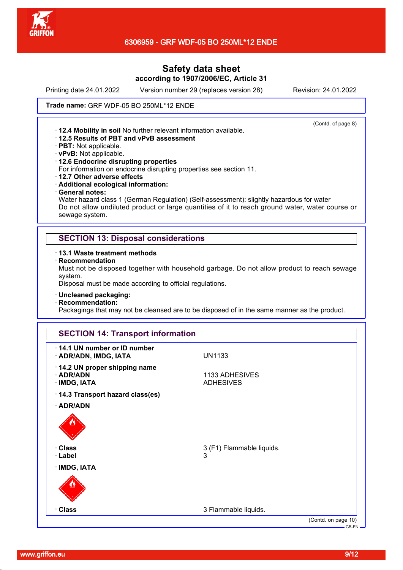

Printing date 24.01.2022 Version number 29 (replaces version 28) Revision: 24.01.2022

(Contd. of page 8)

#### Trade name: GRF WDF-05 BO 250ML\*12 ENDE

· **12.4 Mobility in soil** No further relevant information available.

- · **12.5 Results of PBT and vPvB assessment**
- · **PBT:** Not applicable.
- · **vPvB:** Not applicable.

#### · **12.6 Endocrine disrupting properties**

For information on endocrine disrupting properties see section 11.

- · **12.7 Other adverse effects**
- · **Additional ecological information:**
- · **General notes:**

Water hazard class 1 (German Regulation) (Self-assessment): slightly hazardous for water Do not allow undiluted product or large quantities of it to reach ground water, water course or sewage system.

## **SECTION 13: Disposal considerations**

- · **13.1 Waste treatment methods**
- · **Recommendation**

Must not be disposed together with household garbage. Do not allow product to reach sewage system.

Disposal must be made according to official regulations.

- · **Uncleaned packaging:**
- · **Recommendation:**

Packagings that may not be cleansed are to be disposed of in the same manner as the product.

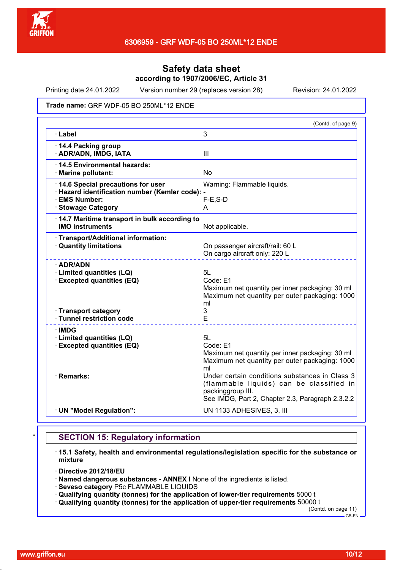

Printing date 24.01.2022 Version number 29 (replaces version 28) Revision: 24.01.2022

Trade name: GRF WDF-05 BO 250ML\*12 ENDE

| 3<br>· Label<br>III<br>No<br>Warning: Flammable liquids.<br>$F-E$ , $S-D$<br>A<br><b>IMO instruments</b><br>Not applicable.<br>On passenger aircraft/rail: 60 L<br>On cargo aircraft only: 220 L<br>5L<br>Code: E1<br>ml<br>3<br>E<br>51<br>Code: E1<br>ml<br>packinggroup III.<br>UN 1133 ADHESIVES, 3, III |                                                                         | (Contd. of page 9)                                                                                                                             |
|--------------------------------------------------------------------------------------------------------------------------------------------------------------------------------------------------------------------------------------------------------------------------------------------------------------|-------------------------------------------------------------------------|------------------------------------------------------------------------------------------------------------------------------------------------|
|                                                                                                                                                                                                                                                                                                              |                                                                         |                                                                                                                                                |
| · Hazard identification number (Kemler code): -<br><b>Stowage Category</b><br>14.7 Maritime transport in bulk according to<br>· Transport category<br>· Tunnel restriction code<br>· UN "Model Regulation":                                                                                                  | 14.4 Packing group<br>· ADR/ADN, IMDG, IATA                             |                                                                                                                                                |
|                                                                                                                                                                                                                                                                                                              | 14.5 Environmental hazards:<br>· Marine pollutant:                      |                                                                                                                                                |
|                                                                                                                                                                                                                                                                                                              | · 14.6 Special precautions for user<br>· EMS Number:                    |                                                                                                                                                |
|                                                                                                                                                                                                                                                                                                              |                                                                         |                                                                                                                                                |
|                                                                                                                                                                                                                                                                                                              |                                                                         |                                                                                                                                                |
|                                                                                                                                                                                                                                                                                                              | · Transport/Additional information:<br>· Quantity limitations           |                                                                                                                                                |
|                                                                                                                                                                                                                                                                                                              | · ADR/ADN<br>· Limited quantities (LQ)<br>· Excepted quantities (EQ)    | Maximum net quantity per inner packaging: 30 ml<br>Maximum net quantity per outer packaging: 1000                                              |
|                                                                                                                                                                                                                                                                                                              |                                                                         |                                                                                                                                                |
|                                                                                                                                                                                                                                                                                                              | $\cdot$ IMDG<br>· Limited quantities (LQ)<br>· Excepted quantities (EQ) | Maximum net quantity per inner packaging: 30 ml<br>Maximum net quantity per outer packaging: 1000                                              |
|                                                                                                                                                                                                                                                                                                              | · Remarks:                                                              | Under certain conditions substances in Class 3<br>(flammable liquids) can be classified in<br>See IMDG, Part 2, Chapter 2.3, Paragraph 2.3.2.2 |
|                                                                                                                                                                                                                                                                                                              |                                                                         |                                                                                                                                                |

## **SECTION 15: Regulatory information**

- · **15.1 Safety, health and environmental regulations/legislation specific for the substance or mixture**
- · **Directive 2012/18/EU**
- · **Named dangerous substances ANNEX I** None of the ingredients is listed.
- · **Seveso category** P5c FLAMMABLE LIQUIDS
- · **Qualifying quantity (tonnes) for the application of lower-tier requirements** 5000 t
- · **Qualifying quantity (tonnes) for the application of upper-tier requirements** 50000 t

(Contd. on page 11)  $-$  GB-EN -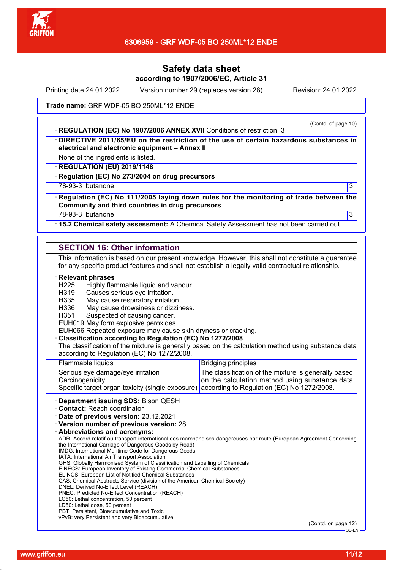

Printing date 24.01.2022 Version number 29 (replaces version 28) Revision: 24.01.2022

Trade name: GRF WDF-05 BO 250ML\*12 ENDE

· **REGULATION (EC) No 1907/2006 ANNEX XVII** Conditions of restriction: 3

(Contd. of page 10)

· **DIRECTIVE 2011/65/EU on the restriction of the use of certain hazardous substances in electrical and electronic equipment – Annex II**

None of the ingredients is listed.

· **REGULATION (EU) 2019/1148**

· **Regulation (EC) No 273/2004 on drug precursors**

78-93-3 butanone 3

· **Regulation (EC) No 111/2005 laying down rules for the monitoring of trade between the Community and third countries in drug precursors**

78-93-3 butanone 3

· **15.2 Chemical safety assessment:** A Chemical Safety Assessment has not been carried out.

## **SECTION 16: Other information**

This information is based on our present knowledge. However, this shall not constitute a guarantee for any specific product features and shall not establish a legally valid contractual relationship.

#### · **Relevant phrases**

- H225 Highly flammable liquid and vapour.
- H319 Causes serious eye irritation.
- H335 May cause respiratory irritation.
- H336 May cause drowsiness or dizziness.
- H351 Suspected of causing cancer.

EUH019 May form explosive peroxides.

EUH066 Repeated exposure may cause skin dryness or cracking.

#### · **Classification according to Regulation (EC) No 1272/2008**

The classification of the mixture is generally based on the calculation method using substance data according to Regulation (EC) No 1272/2008.

| Benewtoward Inculan CBO, Disco OFCU                                                         |                                                      |
|---------------------------------------------------------------------------------------------|------------------------------------------------------|
| Specific target organ toxicity (single exposure) according to Regulation (EC) No 1272/2008. |                                                      |
| Carcinogenicity                                                                             | on the calculation method using substance data       |
| Serious eye damage/eye irritation                                                           | The classification of the mixture is generally based |
| Flammable liquids                                                                           | <b>Bridging principles</b>                           |
|                                                                                             |                                                      |

· **Department issuing SDS:** Bison QESH

· **Contact:** Reach coordinator

· **Date of previous version:** 23.12.2021

· **Version number of previous version:** 28

· **Abbreviations and acronyms:**

ADR: Accord relatif au transport international des marchandises dangereuses par route (European Agreement Concerning the International Carriage of Dangerous Goods by Road)

IMDG: International Maritime Code for Dangerous Goods

IATA: International Air Transport Association

GHS: Globally Harmonised System of Classification and Labelling of Chemicals EINECS: European Inventory of Existing Commercial Chemical Substances

ELINCS: European List of Notified Chemical Substances

CAS: Chemical Abstracts Service (division of the American Chemical Society)

- DNEL: Derived No-Effect Level (REACH)
- PNEC: Predicted No-Effect Concentration (REACH)
- LC50: Lethal concentration, 50 percent
- LD50: Lethal dose, 50 percent
- PBT: Persistent, Bioaccumulative and Toxic

vPvB: very Persistent and very Bioaccumulative

(Contd. on page 12)